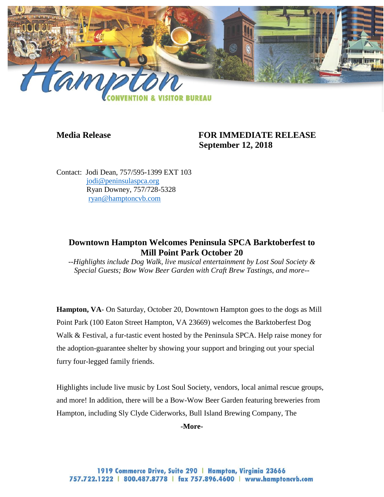

## **Media Release FOR IMMEDIATE RELEASE September 12, 2018**

Contact: Jodi Dean, 757/595-1399 EXT 103 [jodi@peninsulaspca.org](mailto:jodi@peninsulaspca.org) Ryan Downey, 757/728-5328 [ryan@hamptoncvb.com](mailto:ryan@hamptoncvb.com)

## **Downtown Hampton Welcomes Peninsula SPCA Barktoberfest to Mill Point Park October 20**

*--Highlights include Dog Walk, live musical entertainment by Lost Soul Society & Special Guests; Bow Wow Beer Garden with Craft Brew Tastings, and more--*

**Hampton, VA**- On Saturday, October 20, Downtown Hampton goes to the dogs as Mill Point Park (100 Eaton Street Hampton, VA 23669) welcomes the Barktoberfest Dog Walk & Festival, a fur-tastic event hosted by the Peninsula SPCA. Help raise money for the adoption-guarantee shelter by showing your support and bringing out your special furry four-legged family friends.

Highlights include live music by Lost Soul Society, vendors, local animal rescue groups, and more! In addition, there will be a Bow-Wow Beer Garden featuring breweries from Hampton, including Sly Clyde Ciderworks, Bull Island Brewing Company, The

**-More-**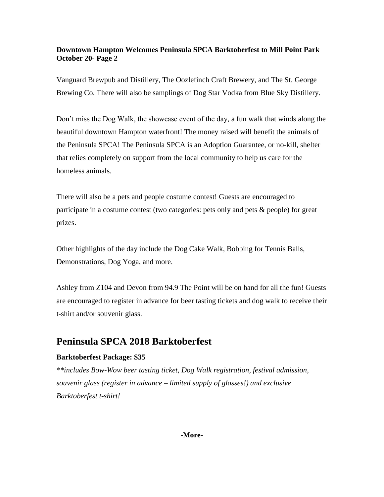## **Downtown Hampton Welcomes Peninsula SPCA Barktoberfest to Mill Point Park October 20- Page 2**

Vanguard Brewpub and Distillery, The Oozlefinch Craft Brewery, and The St. George Brewing Co. There will also be samplings of Dog Star Vodka from Blue Sky Distillery.

Don't miss the Dog Walk, the showcase event of the day, a fun walk that winds along the beautiful downtown Hampton waterfront! The money raised will benefit the animals of the Peninsula SPCA! The Peninsula SPCA is an Adoption Guarantee, or no-kill, shelter that relies completely on support from the local community to help us care for the homeless animals.

There will also be a pets and people costume contest! Guests are encouraged to participate in a costume contest (two categories: pets only and pets & people) for great prizes.

Other highlights of the day include the Dog Cake Walk, Bobbing for Tennis Balls, Demonstrations, Dog Yoga, and more.

Ashley from Z104 and Devon from 94.9 The Point will be on hand for all the fun! Guests are encouraged to register in advance for beer tasting tickets and dog walk to receive their t-shirt and/or souvenir glass.

# **Peninsula SPCA 2018 Barktoberfest**

## **Barktoberfest Package: \$35**

*\*\*includes Bow-Wow beer tasting ticket, Dog Walk registration, festival admission, souvenir glass (register in advance – limited supply of glasses!) and exclusive Barktoberfest t-shirt!*

#### **-More-**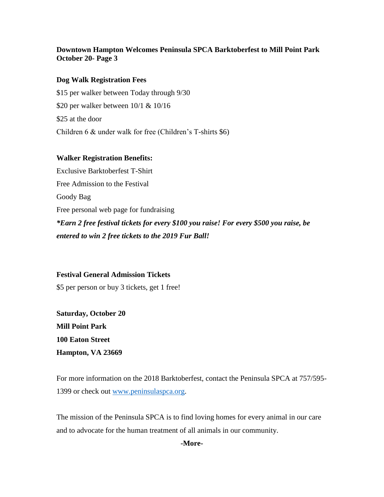## **Downtown Hampton Welcomes Peninsula SPCA Barktoberfest to Mill Point Park October 20- Page 3**

#### **Dog Walk Registration Fees**

\$15 per walker between Today through 9/30 \$20 per walker between 10/1 & 10/16 \$25 at the door Children 6 & under walk for free (Children's T-shirts \$6)

#### **Walker Registration Benefits:**

Exclusive Barktoberfest T-Shirt Free Admission to the Festival Goody Bag Free personal web page for fundraising *\*Earn 2 free festival tickets for every \$100 you raise! For every \$500 you raise, be entered to win 2 free tickets to the 2019 Fur Ball!*

**Festival General Admission Tickets** \$5 per person or buy 3 tickets, get 1 free!

**Saturday, October 20 Mill Point Park 100 Eaton Street Hampton, VA 23669**

For more information on the 2018 Barktoberfest, contact the Peninsula SPCA at 757/595- 1399 or check out [www.peninsulaspca.org.](http://www.peninsulaspca.org/)

The mission of the Peninsula SPCA is to find loving homes for every animal in our care and to advocate for the human treatment of all animals in our community.

#### **-More-**